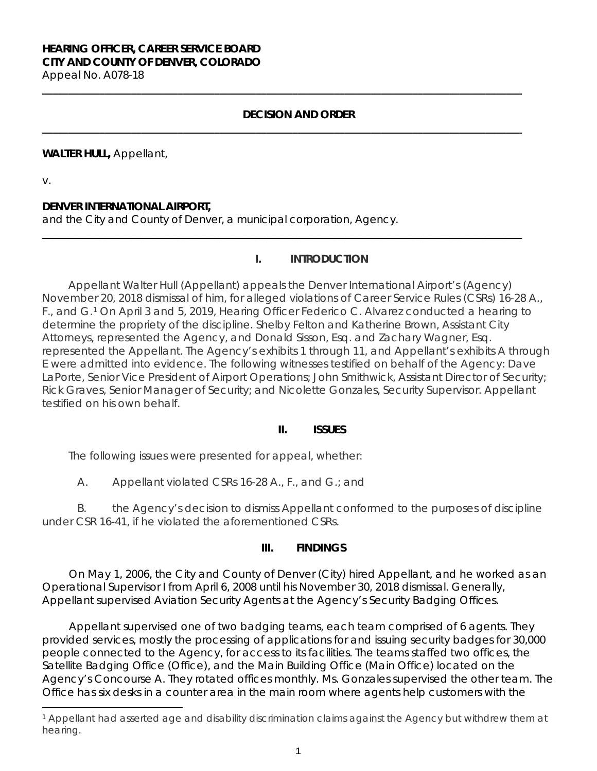# **HEARING OFFICER, CAREER SERVICE BOARD CITY AND COUNTY OF DENVER, COLORADO**

Appeal No. A078-18 **\_\_\_\_\_\_\_\_\_\_\_\_\_\_\_\_\_\_\_\_\_\_\_\_\_\_\_\_\_\_\_\_\_\_\_\_\_\_\_\_\_\_\_\_\_\_\_\_\_\_\_\_\_\_\_\_\_\_\_\_\_\_\_\_\_\_\_\_\_\_\_\_\_\_\_\_\_\_\_\_\_\_\_\_\_\_\_\_\_\_\_\_**

# **DECISION AND ORDER**

**\_\_\_\_\_\_\_\_\_\_\_\_\_\_\_\_\_\_\_\_\_\_\_\_\_\_\_\_\_\_\_\_\_\_\_\_\_\_\_\_\_\_\_\_\_\_\_\_\_\_\_\_\_\_\_\_\_\_\_\_\_\_\_\_\_\_\_\_\_\_\_\_\_\_\_\_\_\_\_\_\_\_\_\_\_\_\_\_\_\_\_\_**

**\_\_\_\_\_\_\_\_\_\_\_\_\_\_\_\_\_\_\_\_\_\_\_\_\_\_\_\_\_\_\_\_\_\_\_\_\_\_\_\_\_\_\_\_\_\_\_\_\_\_\_\_\_\_\_\_\_\_\_\_\_\_\_\_\_\_\_\_\_\_\_\_\_\_\_\_\_\_\_\_\_\_\_\_\_\_\_\_\_\_\_\_**

#### **WALTER HULL,** Appellant,

v.

i

### **DENVER INTERNATIONAL AIRPORT,**

and the City and County of Denver, a municipal corporation, Agency.

#### **I. INTRODUCTION**

Appellant Walter Hull (Appellant) appeals the Denver International Airport's (Agency) November 20, 2018 dismissal of him, for alleged violations of Career Service Rules (CSRs) 16-28 A., F., and G.[1](#page-0-0) On April 3 and 5, 2019, Hearing Officer Federico C. Alvarez conducted a hearing to determine the propriety of the discipline. Shelby Felton and Katherine Brown, Assistant City Attorneys, represented the Agency, and Donald Sisson, Esq. and Zachary Wagner, Esq. represented the Appellant. The Agency's exhibits 1 through 11, and Appellant's exhibits A through E were admitted into evidence. The following witnesses testified on behalf of the Agency: Dave LaPorte, Senior Vice President of Airport Operations; John Smithwick, Assistant Director of Security; Rick Graves, Senior Manager of Security; and Nicolette Gonzales, Security Supervisor. Appellant testified on his own behalf.

#### **II. ISSUES**

The following issues were presented for appeal, whether:

A. Appellant violated CSRs 16-28 A., F., and G.; and

B. the Agency's decision to dismiss Appellant conformed to the purposes of discipline under CSR 16-41, if he violated the aforementioned CSRs.

#### **III. FINDINGS**

On May 1, 2006, the City and County of Denver (City) hired Appellant, and he worked as an Operational Supervisor I from April 6, 2008 until his November 30, 2018 dismissal. Generally, Appellant supervised Aviation Security Agents at the Agency's Security Badging Offices.

Appellant supervised one of two badging teams, each team comprised of 6 agents. They provided services, mostly the processing of applications for and issuing security badges for 30,000 people connected to the Agency, for access to its facilities. The teams staffed two offices, the Satellite Badging Office (Office), and the Main Building Office (Main Office) located on the Agency's Concourse A. They rotated offices monthly. Ms. Gonzales supervised the other team. The Office has six desks in a counter area in the main room where agents help customers with the

<span id="page-0-0"></span><sup>1</sup> Appellant had asserted age and disability discrimination claims against the Agency but withdrew them at hearing.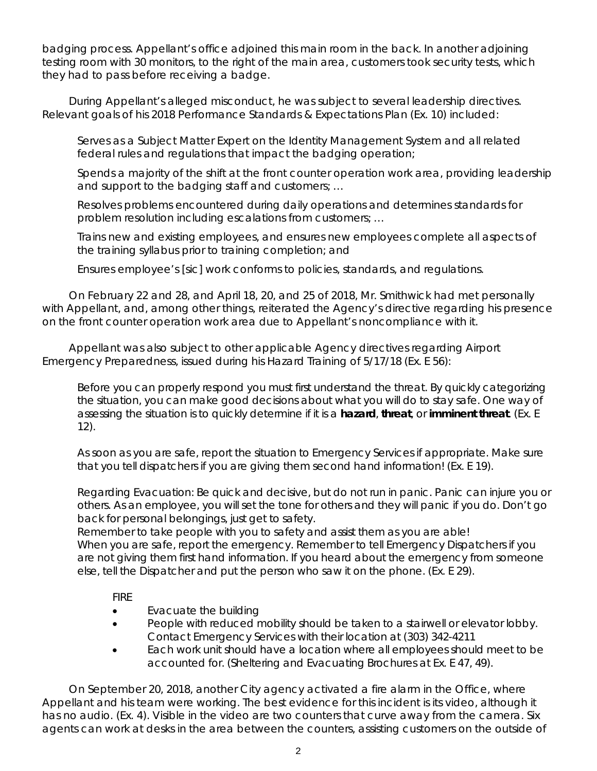badging process. Appellant's office adjoined this main room in the back. In another adjoining testing room with 30 monitors, to the right of the main area, customers took security tests, which they had to pass before receiving a badge.

During Appellant's alleged misconduct, he was subject to several leadership directives. Relevant goals of his 2018 Performance Standards & Expectations Plan (Ex. 10) included:

Serves as a Subject Matter Expert on the Identity Management System and all related federal rules and regulations that impact the badging operation;

Spends a majority of the shift at the front counter operation work area, providing leadership and support to the badging staff and customers; …

Resolves problems encountered during daily operations and determines standards for problem resolution including escalations from customers; …

Trains new and existing employees, and ensures new employees complete all aspects of the training syllabus prior to training completion; and

Ensures employee's [sic] work conforms to policies, standards, and regulations.

On February 22 and 28, and April 18, 20, and 25 of 2018, Mr. Smithwick had met personally with Appellant, and, among other things, reiterated the Agency's directive regarding his presence on the front counter operation work area due to Appellant's noncompliance with it.

Appellant was also subject to other applicable Agency directives regarding Airport Emergency Preparedness, issued during his Hazard Training of 5/17/18 (Ex. E 56):

Before you can properly respond you must first understand the threat. By quickly categorizing the situation, you can make good decisions about what you will do to stay safe. One way of assessing the situation is to quickly determine if it is a **hazard**, **threat**, or **imminent threat**. (Ex. E 12).

As soon as you are safe, report the situation to Emergency Services if appropriate. Make sure that you tell dispatchers if you are giving them second hand information! (Ex. E 19).

Regarding Evacuation: Be quick and decisive, but do not run in panic. Panic can injure you or others. As an employee, you will set the tone for others and they will panic if you do. Don't go back for personal belongings, just get to safety.

Remember to take people with you to safety and assist them as you are able! When you are safe, report the emergency. Remember to tell Emergency Dispatchers if you are not giving them first hand information. If you heard about the emergency from someone else, tell the Dispatcher and put the person who saw it on the phone. (Ex. E 29).

FIRE

- Evacuate the building
- People with reduced mobility should be taken to a stairwell or elevator lobby. Contact Emergency Services with their location at (303) 342-4211
- Each work unit should have a location where all employees should meet to be accounted for. (Sheltering and Evacuating Brochures at Ex. E 47, 49).

On September 20, 2018, another City agency activated a fire alarm in the Office, where Appellant and his team were working. The best evidence for this incident is its video, although it has no audio. (Ex. 4). Visible in the video are two counters that curve away from the camera. Six agents can work at desks in the area between the counters, assisting customers on the outside of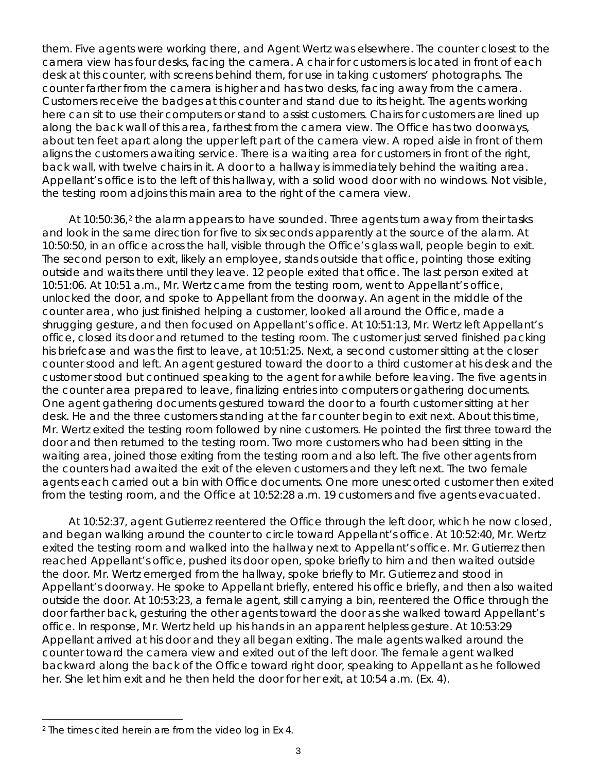them. Five agents were working there, and Agent Wertz was elsewhere. The counter closest to the camera view has four desks, facing the camera. A chair for customers is located in front of each desk at this counter, with screens behind them, for use in taking customers' photographs. The counter farther from the camera is higher and has two desks, facing away from the camera. Customers receive the badges at this counter and stand due to its height. The agents working here can sit to use their computers or stand to assist customers. Chairs for customers are lined up along the back wall of this area, farthest from the camera view. The Office has two doorways, about ten feet apart along the upper left part of the camera view. A roped aisle in front of them aligns the customers awaiting service. There is a waiting area for customers in front of the right, back wall, with twelve chairs in it. A door to a hallway is immediately behind the waiting area. Appellant's office is to the left of this hallway, with a solid wood door with no windows. Not visible, the testing room adjoins this main area to the right of the camera view.

At 10:50:36,<sup>[2](#page-2-0)</sup> the alarm appears to have sounded. Three agents turn away from their tasks and look in the same direction for five to six seconds apparently at the source of the alarm. At 10:50:50, in an office across the hall, visible through the Office's glass wall, people begin to exit. The second person to exit, likely an employee, stands outside that office, pointing those exiting outside and waits there until they leave. 12 people exited that office. The last person exited at 10:51:06. At 10:51 a.m., Mr. Wertz came from the testing room, went to Appellant's office, unlocked the door, and spoke to Appellant from the doorway. An agent in the middle of the counter area, who just finished helping a customer, looked all around the Office, made a shrugging gesture, and then focused on Appellant's office. At 10:51:13, Mr. Wertz left Appellant's office, closed its door and returned to the testing room. The customer just served finished packing his briefcase and was the first to leave, at 10:51:25. Next, a second customer sitting at the closer counter stood and left. An agent gestured toward the door to a third customer at his desk and the customer stood but continued speaking to the agent for awhile before leaving. The five agents in the counter area prepared to leave, finalizing entries into computers or gathering documents. One agent gathering documents gestured toward the door to a fourth customer sitting at her desk. He and the three customers standing at the far counter begin to exit next. About this time, Mr. Wertz exited the testing room followed by nine customers. He pointed the first three toward the door and then returned to the testing room. Two more customers who had been sitting in the waiting area, joined those exiting from the testing room and also left. The five other agents from the counters had awaited the exit of the eleven customers and they left next. The two female agents each carried out a bin with Office documents. One more unescorted customer then exited from the testing room, and the Office at 10:52:28 a.m. 19 customers and five agents evacuated.

At 10:52:37, agent Gutierrez reentered the Office through the left door, which he now closed, and began walking around the counter to circle toward Appellant's office. At 10:52:40, Mr. Wertz exited the testing room and walked into the hallway next to Appellant's office. Mr. Gutierrez then reached Appellant's office, pushed its door open, spoke briefly to him and then waited outside the door. Mr. Wertz emerged from the hallway, spoke briefly to Mr. Gutierrez and stood in Appellant's doorway. He spoke to Appellant briefly, entered his office briefly, and then also waited outside the door. At 10:53:23, a female agent, still carrying a bin, reentered the Office through the door farther back, gesturing the other agents toward the door as she walked toward Appellant's office. In response, Mr. Wertz held up his hands in an apparent helpless gesture. At 10:53:29 Appellant arrived at his door and they all began exiting. The male agents walked around the counter toward the camera view and exited out of the left door. The female agent walked backward along the back of the Office toward right door, speaking to Appellant as he followed her. She let him exit and he then held the door for her exit, at 10:54 a.m. (Ex. 4).

i

<span id="page-2-0"></span><sup>2</sup> The times cited herein are from the video log in Ex 4.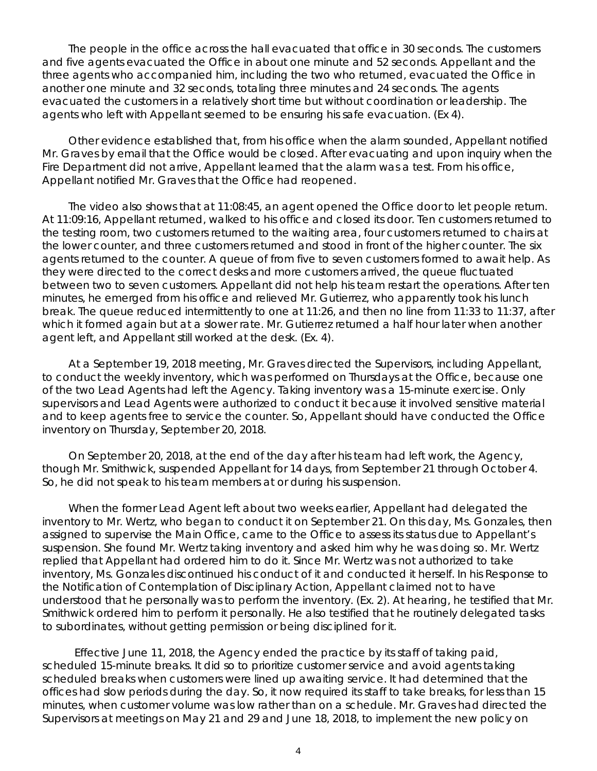The people in the office across the hall evacuated that office in 30 seconds. The customers and five agents evacuated the Office in about one minute and 52 seconds. Appellant and the three agents who accompanied him, including the two who returned, evacuated the Office in another one minute and 32 seconds, totaling three minutes and 24 seconds. The agents evacuated the customers in a relatively short time but without coordination or leadership. The agents who left with Appellant seemed to be ensuring his safe evacuation. (Ex 4).

Other evidence established that, from his office when the alarm sounded, Appellant notified Mr. Graves by email that the Office would be closed. After evacuating and upon inquiry when the Fire Department did not arrive, Appellant learned that the alarm was a test. From his office, Appellant notified Mr. Graves that the Office had reopened.

The video also shows that at 11:08:45, an agent opened the Office door to let people return. At 11:09:16, Appellant returned, walked to his office and closed its door. Ten customers returned to the testing room, two customers returned to the waiting area, four customers returned to chairs at the lower counter, and three customers returned and stood in front of the higher counter. The six agents returned to the counter. A queue of from five to seven customers formed to await help. As they were directed to the correct desks and more customers arrived, the queue fluctuated between two to seven customers. Appellant did not help his team restart the operations. After ten minutes, he emerged from his office and relieved Mr. Gutierrez, who apparently took his lunch break. The queue reduced intermittently to one at 11:26, and then no line from 11:33 to 11:37, after which it formed again but at a slower rate. Mr. Gutierrez returned a half hour later when another agent left, and Appellant still worked at the desk. (Ex. 4).

At a September 19, 2018 meeting, Mr. Graves directed the Supervisors, including Appellant, to conduct the weekly inventory, which was performed on Thursdays at the Office, because one of the two Lead Agents had left the Agency. Taking inventory was a 15-minute exercise. Only supervisors and Lead Agents were authorized to conduct it because it involved sensitive material and to keep agents free to service the counter. So, Appellant should have conducted the Office inventory on Thursday, September 20, 2018.

On September 20, 2018, at the end of the day after his team had left work, the Agency, though Mr. Smithwick, suspended Appellant for 14 days, from September 21 through October 4. So, he did not speak to his team members at or during his suspension.

When the former Lead Agent left about two weeks earlier, Appellant had delegated the inventory to Mr. Wertz, who began to conduct it on September 21. On this day, Ms. Gonzales, then assigned to supervise the Main Office, came to the Office to assess its status due to Appellant's suspension. She found Mr. Wertz taking inventory and asked him why he was doing so. Mr. Wertz replied that Appellant had ordered him to do it. Since Mr. Wertz was not authorized to take inventory, Ms. Gonzales discontinued his conduct of it and conducted it herself. In his Response to the Notification of Contemplation of Disciplinary Action, Appellant claimed not to have understood that he personally was to perform the inventory. (Ex. 2). At hearing, he testified that Mr. Smithwick ordered him to perform it personally. He also testified that he routinely delegated tasks to subordinates, without getting permission or being disciplined for it.

Effective June 11, 2018, the Agency ended the practice by its staff of taking paid, scheduled 15-minute breaks. It did so to prioritize customer service and avoid agents taking scheduled breaks when customers were lined up awaiting service. It had determined that the offices had slow periods during the day. So, it now required its staff to take breaks, for less than 15 minutes, when customer volume was low rather than on a schedule. Mr. Graves had directed the Supervisors at meetings on May 21 and 29 and June 18, 2018, to implement the new policy on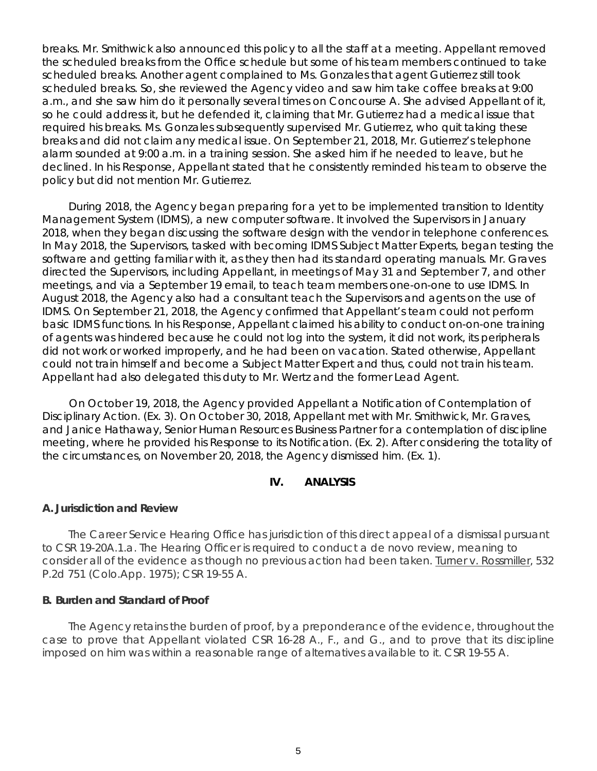breaks. Mr. Smithwick also announced this policy to all the staff at a meeting. Appellant removed the scheduled breaks from the Office schedule but some of his team members continued to take scheduled breaks. Another agent complained to Ms. Gonzales that agent Gutierrez still took scheduled breaks. So, she reviewed the Agency video and saw him take coffee breaks at 9:00 a.m., and she saw him do it personally several times on Concourse A. She advised Appellant of it, so he could address it, but he defended it, claiming that Mr. Gutierrez had a medical issue that required his breaks. Ms. Gonzales subsequently supervised Mr. Gutierrez, who quit taking these breaks and did not claim any medical issue. On September 21, 2018, Mr. Gutierrez's telephone alarm sounded at 9:00 a.m. in a training session. She asked him if he needed to leave, but he declined. In his Response, Appellant stated that he consistently reminded his team to observe the policy but did not mention Mr. Gutierrez.

During 2018, the Agency began preparing for a yet to be implemented transition to Identity Management System (IDMS), a new computer software. It involved the Supervisors in January 2018, when they began discussing the software design with the vendor in telephone conferences. In May 2018, the Supervisors, tasked with becoming IDMS Subject Matter Experts, began testing the software and getting familiar with it, as they then had its standard operating manuals. Mr. Graves directed the Supervisors, including Appellant, in meetings of May 31 and September 7, and other meetings, and via a September 19 email, to teach team members one-on-one to use IDMS. In August 2018, the Agency also had a consultant teach the Supervisors and agents on the use of IDMS. On September 21, 2018, the Agency confirmed that Appellant's team could not perform basic IDMS functions. In his Response, Appellant claimed his ability to conduct on-on-one training of agents was hindered because he could not log into the system, it did not work, its peripherals did not work or worked improperly, and he had been on vacation. Stated otherwise, Appellant could not train himself and become a Subject Matter Expert and thus, could not train his team. Appellant had also delegated this duty to Mr. Wertz and the former Lead Agent.

On October 19, 2018, the Agency provided Appellant a Notification of Contemplation of Disciplinary Action. (Ex. 3). On October 30, 2018, Appellant met with Mr. Smithwick, Mr. Graves, and Janice Hathaway, Senior Human Resources Business Partner for a contemplation of discipline meeting, where he provided his Response to its Notification. (Ex. 2). After considering the totality of the circumstances, on November 20, 2018, the Agency dismissed him. (Ex. 1).

# **IV. ANALYSIS**

#### **A. Jurisdiction and Review**

The Career Service Hearing Office has jurisdiction of this direct appeal of a dismissal pursuant to CSR 19-20A.1.a. The Hearing Officer is required to conduct a *de novo* review, meaning to consider all of the evidence as though no previous action had been taken. Turner v. Rossmiller, 532 P.2d 751 (Colo.App. 1975); CSR 19-55 A.

#### **B. Burden and Standard of Proof**

The Agency retains the burden of proof, by a preponderance of the evidence, throughout the case to prove that Appellant violated CSR 16-28 A., F., and G., and to prove that its discipline imposed on him was within a reasonable range of alternatives available to it. CSR 19-55 A.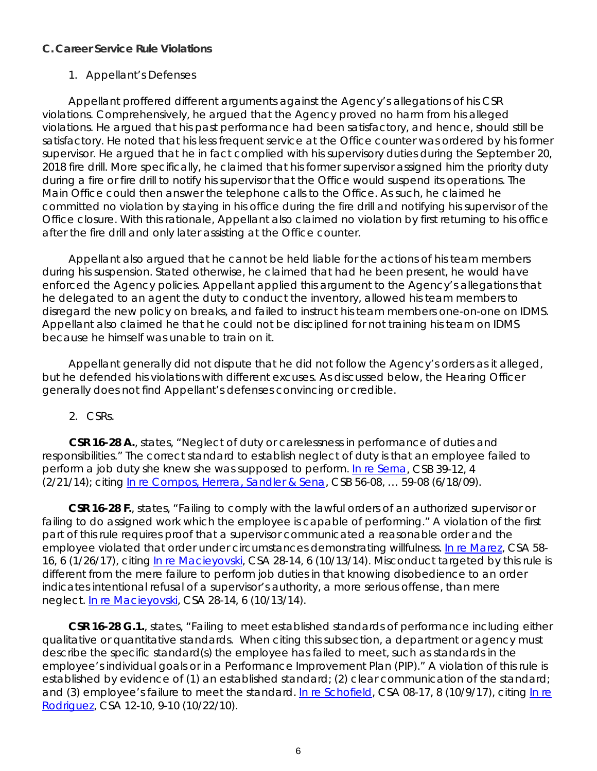#### **C. Career Service Rule Violations**

#### 1. Appellant's Defenses

Appellant proffered different arguments against the Agency's allegations of his CSR violations. Comprehensively, he argued that the Agency proved no harm from his alleged violations. He argued that his past performance had been satisfactory, and hence, should still be satisfactory. He noted that his less frequent service at the Office counter was ordered by his former supervisor. He argued that he in fact complied with his supervisory duties during the September 20, 2018 fire drill. More specifically, he claimed that his former supervisor assigned him the priority duty during a fire or fire drill to notify his supervisor that the Office would suspend its operations. The Main Office could then answer the telephone calls to the Office. As such, he claimed he committed no violation by staying in his office during the fire drill and notifying his supervisor of the Office closure. With this rationale, Appellant also claimed no violation by first returning to his office after the fire drill and only later assisting at the Office counter.

Appellant also argued that he cannot be held liable for the actions of his team members during his suspension. Stated otherwise, he claimed that had he been present, he would have enforced the Agency policies. Appellant applied this argument to the Agency's allegations that he delegated to an agent the duty to conduct the inventory, allowed his team members to disregard the new policy on breaks, and failed to instruct his team members one-on-one on IDMS. Appellant also claimed he that he could not be disciplined for not training his team on IDMS because he himself was unable to train on it.

Appellant generally did not dispute that he did not follow the Agency's orders as it alleged, but he defended his violations with different excuses. As discussed below, the Hearing Officer generally does not find Appellant's defenses convincing or credible.

#### 2. CSRs.

**CSR 16-28 A.**, states, "Neglect of duty or carelessness in performance of duties and responsibilities." The correct standard to establish neglect of duty is that an employee failed to perform a job duty she knew she was supposed to perform. [In re Serna,](https://www.denvergov.org/content/dam/denvergov/Portals/hearings_office/documents/Hearings/Serna_Veronica_39-12_Decision.pdf) CSB 39-12, 4 (2/21/14); *citing* [In re Compos, Herrera, Sandler & Sena,](https://www.denvergov.org/content/dam/denvergov/Portals/hearings_office/documents/Hearings/Compos_Herrera_Sandler_Sena_Findings_and_Order.pdf) CSB 56-08, … 59-08 (6/18/09).

**CSR 16-28 F.**, states, "Failing to comply with the lawful orders of an authorized supervisor or failing to do assigned work which the employee is capable of performing." A violation of the first part of this rule requires proof that a supervisor communicated a reasonable order and the employee violated that order under circumstances demonstrating willfulness. [In re Marez,](https://www.denvergov.org/content/dam/denvergov/Portals/hearings_office/documents/Hearings/Marez_Alonzo_58-16_1-27-17.pdf) CSA 58- 16, 6 (1/26/17), citing [In re Macieyovski,](https://www.denvergov.org/content/dam/denvergov/Portals/hearings_office/documents/Hearings/Macieyovski_Vincent_28-14_Decision_and_Order.pdf) CSA 28-14, 6 (10/13/14). Misconduct targeted by this rule is different from the mere failure to perform job duties in that knowing disobedience to an order indicates intentional refusal of a supervisor's authority, a more serious offense, than mere neglect. [In re Macieyovski,](https://www.denvergov.org/content/dam/denvergov/Portals/hearings_office/documents/Hearings/Macieyovski_Vincent_28-14_Decision_and_Order.pdf) CSA 28-14, 6 (10/13/14).

**CSR 16-28 G.1.**, states, "Failing to meet established standards of performance including either qualitative or quantitative standards. When citing this subsection, a department or agency must describe the specific standard(s) the employee has failed to meet, such as standards in the employee's individual goals or in a Performance Improvement Plan (PIP)." A violation of this rule is established by evidence of (1) an established standard; (2) clear communication of the standard; and (3) employee's failure to meet the standard. [In re Schofield,](https://www.denvergov.org/content/dam/denvergov/Portals/hearings_office/documents/Hearings/Schofield_Jerilyn_08-17_10-9-17.pdf) CSA 08-17, 8 (10/9/17), *citing* [In re](https://www.denvergov.org/content/dam/denvergov/Portals/hearings_office/documents/Hearings/Rodriguez_Angela_12-10_Decision.pdf)  [Rodriguez,](https://www.denvergov.org/content/dam/denvergov/Portals/hearings_office/documents/Hearings/Rodriguez_Angela_12-10_Decision.pdf) CSA 12-10, 9-10 (10/22/10).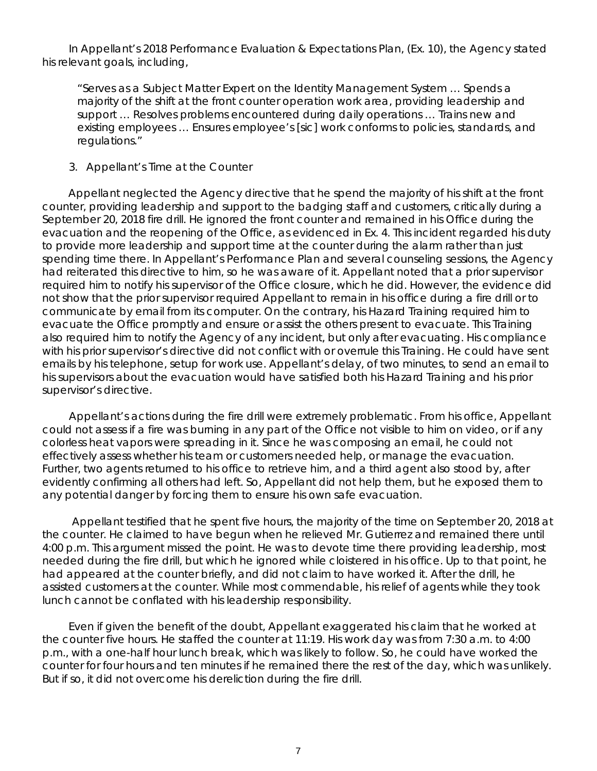In Appellant's 2018 Performance Evaluation & Expectations Plan, (Ex. 10), the Agency stated his relevant goals, including,

"Serves as a Subject Matter Expert on the Identity Management System … Spends a majority of the shift at the front counter operation work area, providing leadership and support … Resolves problems encountered during daily operations … Trains new and existing employees … Ensures employee's [sic] work conforms to policies, standards, and regulations."

#### 3. Appellant's Time at the Counter

Appellant neglected the Agency directive that he spend the majority of his shift at the front counter, providing leadership and support to the badging staff and customers, critically during a September 20, 2018 fire drill. He ignored the front counter and remained in his Office during the evacuation and the reopening of the Office, as evidenced in Ex. 4. This incident regarded his duty to provide more leadership and support time at the counter during the alarm rather than just spending time there. In Appellant's Performance Plan and several counseling sessions, the Agency had reiterated this directive to him, so he was aware of it. Appellant noted that a prior supervisor required him to notify his supervisor of the Office closure, which he did. However, the evidence did not show that the prior supervisor required Appellant to remain in his office during a fire drill or to communicate by email from its computer. On the contrary, his Hazard Training required him to evacuate the Office promptly and ensure or assist the others present to evacuate. This Training also required him to notify the Agency of any incident, but only after evacuating. His compliance with his prior supervisor's directive did not conflict with or overrule this Training. He could have sent emails by his telephone, setup for work use. Appellant's delay, of two minutes, to send an email to his supervisors about the evacuation would have satisfied both his Hazard Training and his prior supervisor's directive.

Appellant's actions during the fire drill were extremely problematic. From his office, Appellant could not assess if a fire was burning in any part of the Office not visible to him on video, or if any colorless heat vapors were spreading in it. Since he was composing an email, he could not effectively assess whether his team or customers needed help, or manage the evacuation. Further, two agents returned to his office to retrieve him, and a third agent also stood by, after evidently confirming all others had left. So, Appellant did not help them, but he exposed them to any potential danger by forcing them to ensure his own safe evacuation.

Appellant testified that he spent five hours, the majority of the time on September 20, 2018 at the counter. He claimed to have begun when he relieved Mr. Gutierrez and remained there until 4:00 p.m. This argument missed the point. He was to devote time there providing leadership, most needed during the fire drill, but which he ignored while cloistered in his office. Up to that point, he had appeared at the counter briefly, and did not claim to have worked it. After the drill, he assisted customers at the counter. While most commendable, his relief of agents while they took lunch cannot be conflated with his leadership responsibility.

Even if given the benefit of the doubt, Appellant exaggerated his claim that he worked at the counter five hours. He staffed the counter at 11:19. His work day was from 7:30 a.m. to 4:00 p.m., with a one-half hour lunch break, which was likely to follow. So, he could have worked the counter for four hours and ten minutes if he remained there the rest of the day, which was unlikely. But if so, it did not overcome his dereliction during the fire drill.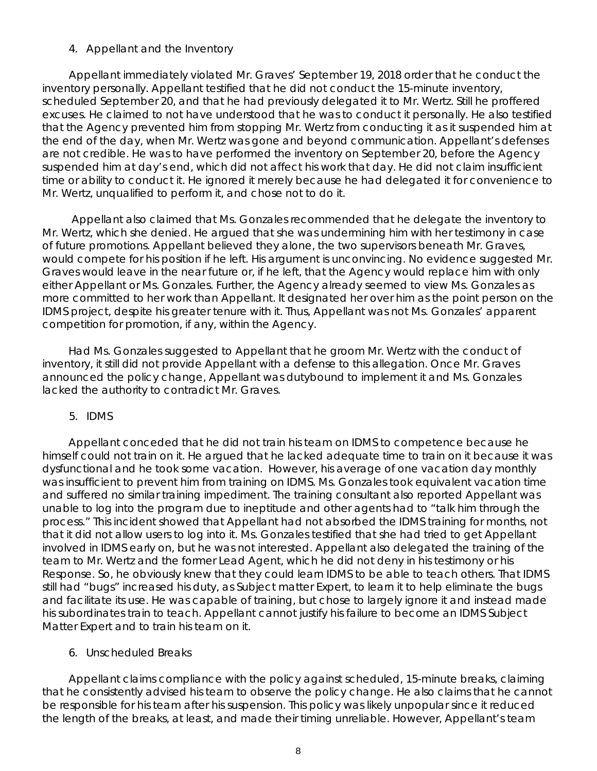#### 4. Appellant and the Inventory

Appellant immediately violated Mr. Graves' September 19, 2018 order that he conduct the inventory personally. Appellant testified that he did not conduct the 15-minute inventory, scheduled September 20, and that he had previously delegated it to Mr. Wertz. Still he proffered excuses. He claimed to not have understood that he was to conduct it personally. He also testified that the Agency prevented him from stopping Mr. Wertz from conducting it as it suspended him at the end of the day, when Mr. Wertz was gone and beyond communication. Appellant's defenses are not credible. He was to have performed the inventory on September 20, before the Agency suspended him at day's end, which did not affect his work that day. He did not claim insufficient time or ability to conduct it. He ignored it merely because he had delegated it for convenience to Mr. Wertz, unqualified to perform it, and chose not to do it.

Appellant also claimed that Ms. Gonzales recommended that he delegate the inventory to Mr. Wertz, which she denied. He argued that she was undermining him with her testimony in case of future promotions. Appellant believed they alone, the two supervisors beneath Mr. Graves, would compete for his position if he left. His argument is unconvincing. No evidence suggested Mr. Graves would leave in the near future or, if he left, that the Agency would replace him with only either Appellant or Ms. Gonzales. Further, the Agency already seemed to view Ms. Gonzales as more committed to her work than Appellant. It designated her over him as the point person on the IDMS project, despite his greater tenure with it. Thus, Appellant was not Ms. Gonzales' apparent competition for promotion, if any, within the Agency.

Had Ms. Gonzales suggested to Appellant that he groom Mr. Wertz with the conduct of inventory, it still did not provide Appellant with a defense to this allegation. Once Mr. Graves announced the policy change, Appellant was dutybound to implement it and Ms. Gonzales lacked the authority to contradict Mr. Graves.

5. IDMS

Appellant conceded that he did not train his team on IDMS to competence because he himself could not train on it. He argued that he lacked adequate time to train on it because it was dysfunctional and he took some vacation. However, his average of one vacation day monthly was insufficient to prevent him from training on IDMS. Ms. Gonzales took equivalent vacation time and suffered no similar training impediment. The training consultant also reported Appellant was unable to log into the program due to ineptitude and other agents had to "talk him through the process." This incident showed that Appellant had not absorbed the IDMS training for months, not that it did not allow users to log into it. Ms. Gonzales testified that she had tried to get Appellant involved in IDMS early on, but he was not interested. Appellant also delegated the training of the team to Mr. Wertz and the former Lead Agent, which he did not deny in his testimony or his Response. So, he obviously knew that they could learn IDMS to be able to teach others. That IDMS still had "bugs" increased his duty, as Subject matter Expert, to learn it to help eliminate the bugs and facilitate its use. He was capable of training, but chose to largely ignore it and instead made his subordinates train to teach. Appellant cannot justify his failure to become an IDMS Subject Matter Expert and to train his team on it.

# 6. Unscheduled Breaks

Appellant claims compliance with the policy against scheduled, 15-minute breaks, claiming that he consistently advised his team to observe the policy change. He also claims that he cannot be responsible for his team after his suspension. This policy was likely unpopular since it reduced the length of the breaks, at least, and made their timing unreliable. However, Appellant's team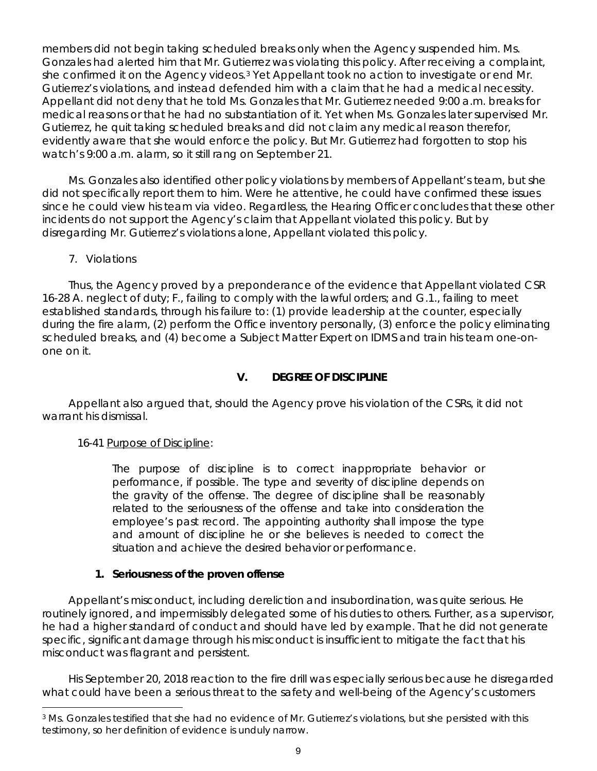members did not begin taking scheduled breaks only when the Agency suspended him. Ms. Gonzales had alerted him that Mr. Gutierrez was violating this policy. After receiving a complaint, she confirmed it on the Agency videos.<sup>3</sup> Yet Appellant took no action to investigate or end Mr. Gutierrez's violations, and instead defended him with a claim that he had a medical necessity. Appellant did not deny that he told Ms. Gonzales that Mr. Gutierrez needed 9:00 a.m. breaks for medical reasons or that he had no substantiation of it. Yet when Ms. Gonzales later supervised Mr. Gutierrez, he quit taking scheduled breaks and did not claim any medical reason therefor, evidently aware that she would enforce the policy. But Mr. Gutierrez had forgotten to stop his watch's 9:00 a.m. alarm, so it still rang on September 21.

Ms. Gonzales also identified other policy violations by members of Appellant's team, but she did not specifically report them to him. Were he attentive, he could have confirmed these issues since he could view his team via video. Regardless, the Hearing Officer concludes that these other incidents do not support the Agency's claim that Appellant violated this policy. But by disregarding Mr. Gutierrez's violations alone, Appellant violated this policy.

# 7. Violations

Thus, the Agency proved by a preponderance of the evidence that Appellant violated CSR 16-28 A. neglect of duty; F., failing to comply with the lawful orders; and G.1., failing to meet established standards, through his failure to: (1) provide leadership at the counter, especially during the fire alarm, (2) perform the Office inventory personally, (3) enforce the policy eliminating scheduled breaks, and (4) become a Subject Matter Expert on IDMS and train his team one-onone on it.

# **V. DEGREE OF DISCIPLINE**

Appellant also argued that, should the Agency prove his violation of the CSRs, it did not warrant his dismissal.

# 16-41 Purpose of Discipline:

The purpose of discipline is to correct inappropriate behavior or performance, if possible. The type and severity of discipline depends on the gravity of the offense. The degree of discipline shall be reasonably related to the seriousness of the offense and take into consideration the employee's past record. The appointing authority shall impose the type and amount of discipline he or she believes is needed to correct the situation and achieve the desired behavior or performance.

# **1. Seriousness of the proven offense**

Appellant's misconduct, including dereliction and insubordination, was quite serious. He routinely ignored, and impermissibly delegated some of his duties to others. Further, as a supervisor, he had a higher standard of conduct and should have led by example. That he did not generate specific, significant damage through his misconduct is insufficient to mitigate the fact that his misconduct was flagrant and persistent.

His September 20, 2018 reaction to the fire drill was especially serious because he disregarded what could have been a serious threat to the safety and well-being of the Agency's customers

<span id="page-8-0"></span>i <sup>3</sup> Ms. Gonzales testified that she had no evidence of Mr. Gutierrez's violations, but she persisted with this testimony, so her definition of evidence is unduly narrow.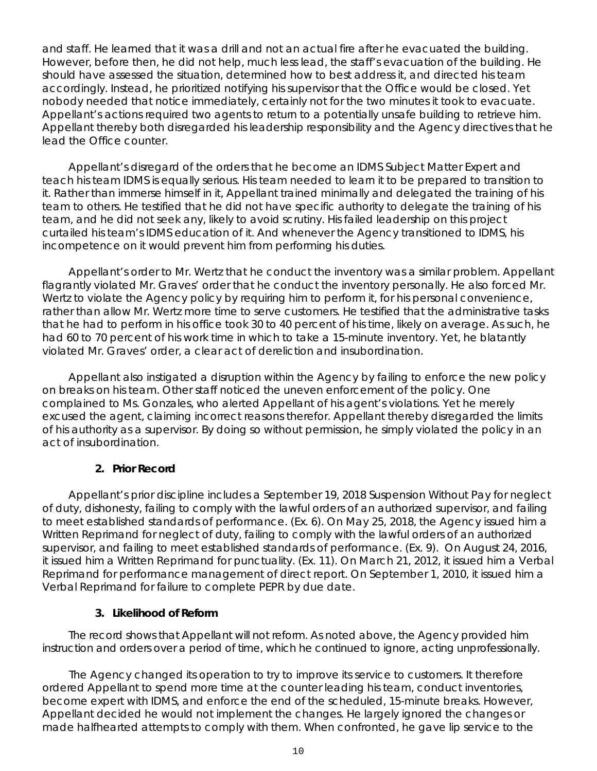and staff. He learned that it was a drill and not an actual fire after he evacuated the building. However, before then, he did not help, much less lead, the staff's evacuation of the building. He should have assessed the situation, determined how to best address it, and directed his team accordingly. Instead, he prioritized notifying his supervisor that the Office would be closed. Yet nobody needed that notice immediately, certainly not for the two minutes it took to evacuate. Appellant's actions required two agents to return to a potentially unsafe building to retrieve him. Appellant thereby both disregarded his leadership responsibility and the Agency directives that he lead the Office counter.

Appellant's disregard of the orders that he become an IDMS Subject Matter Expert and teach his team IDMS is equally serious. His team needed to learn it to be prepared to transition to it. Rather than immerse himself in it, Appellant trained minimally and delegated the training of his team to others. He testified that he did not have specific authority to delegate the training of his team, and he did not seek any, likely to avoid scrutiny. His failed leadership on this project curtailed his team's IDMS education of it. And whenever the Agency transitioned to IDMS, his incompetence on it would prevent him from performing his duties.

Appellant's order to Mr. Wertz that he conduct the inventory was a similar problem. Appellant flagrantly violated Mr. Graves' order that he conduct the inventory personally. He also forced Mr. Wertz to violate the Agency policy by requiring him to perform it, for his personal convenience, rather than allow Mr. Wertz more time to serve customers. He testified that the administrative tasks that he had to perform in his office took 30 to 40 percent of his time, likely on average. As such, he had 60 to 70 percent of his work time in which to take a 15-minute inventory. Yet, he blatantly violated Mr. Graves' order, a clear act of dereliction and insubordination.

Appellant also instigated a disruption within the Agency by failing to enforce the new policy on breaks on his team. Other staff noticed the uneven enforcement of the policy. One complained to Ms. Gonzales, who alerted Appellant of his agent's violations. Yet he merely excused the agent, claiming incorrect reasons therefor. Appellant thereby disregarded the limits of his authority as a supervisor. By doing so without permission, he simply violated the policy in an act of insubordination.

#### **2. Prior Record**

Appellant's prior discipline includes a September 19, 2018 Suspension Without Pay for neglect of duty, dishonesty, failing to comply with the lawful orders of an authorized supervisor, and failing to meet established standards of performance. (Ex. 6). On May 25, 2018, the Agency issued him a Written Reprimand for neglect of duty, failing to comply with the lawful orders of an authorized supervisor, and failing to meet established standards of performance. (Ex. 9). On August 24, 2016, it issued him a Written Reprimand for punctuality. (Ex. 11). On March 21, 2012, it issued him a Verbal Reprimand for performance management of direct report. On September 1, 2010, it issued him a Verbal Reprimand for failure to complete PEPR by due date.

#### **3. Likelihood of Reform**

The record shows that Appellant will not reform. As noted above, the Agency provided him instruction and orders over a period of time, which he continued to ignore, acting unprofessionally.

The Agency changed its operation to try to improve its service to customers. It therefore ordered Appellant to spend more time at the counter leading his team, conduct inventories, become expert with IDMS, and enforce the end of the scheduled, 15-minute breaks. However, Appellant decided he would not implement the changes. He largely ignored the changes or made halfhearted attempts to comply with them. When confronted, he gave lip service to the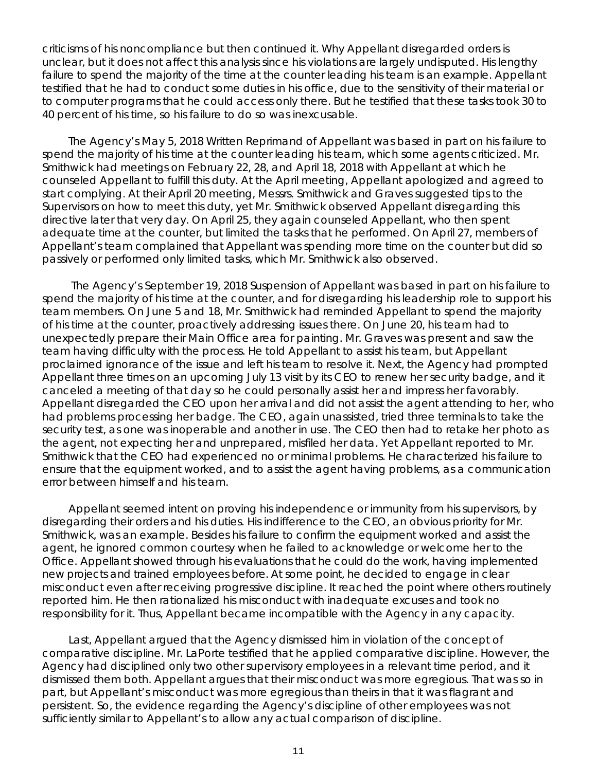criticisms of his noncompliance but then continued it. Why Appellant disregarded orders is unclear, but it does not affect this analysis since his violations are largely undisputed. His lengthy failure to spend the majority of the time at the counter leading his team is an example. Appellant testified that he had to conduct some duties in his office, due to the sensitivity of their material or to computer programs that he could access only there. But he testified that these tasks took 30 to 40 percent of his time, so his failure to do so was inexcusable.

The Agency's May 5, 2018 Written Reprimand of Appellant was based in part on his failure to spend the majority of his time at the counter leading his team, which some agents criticized. Mr. Smithwick had meetings on February 22, 28, and April 18, 2018 with Appellant at which he counseled Appellant to fulfill this duty. At the April meeting, Appellant apologized and agreed to start complying. At their April 20 meeting, Messrs. Smithwick and Graves suggested tips to the Supervisors on how to meet this duty, yet Mr. Smithwick observed Appellant disregarding this directive later that very day. On April 25, they again counseled Appellant, who then spent adequate time at the counter, but limited the tasks that he performed. On April 27, members of Appellant's team complained that Appellant was spending more time on the counter but did so passively or performed only limited tasks, which Mr. Smithwick also observed.

The Agency's September 19, 2018 Suspension of Appellant was based in part on his failure to spend the majority of his time at the counter, and for disregarding his leadership role to support his team members. On June 5 and 18, Mr. Smithwick had reminded Appellant to spend the majority of his time at the counter, proactively addressing issues there. On June 20, his team had to unexpectedly prepare their Main Office area for painting. Mr. Graves was present and saw the team having difficulty with the process. He told Appellant to assist his team, but Appellant proclaimed ignorance of the issue and left his team to resolve it. Next, the Agency had prompted Appellant three times on an upcoming July 13 visit by its CEO to renew her security badge, and it canceled a meeting of that day so he could personally assist her and impress her favorably. Appellant disregarded the CEO upon her arrival and did not assist the agent attending to her, who had problems processing her badge. The CEO, again unassisted, tried three terminals to take the security test, as one was inoperable and another in use. The CEO then had to retake her photo as the agent, not expecting her and unprepared, misfiled her data. Yet Appellant reported to Mr. Smithwick that the CEO had experienced no or minimal problems. He characterized his failure to ensure that the equipment worked, and to assist the agent having problems, as a communication error between himself and his team.

Appellant seemed intent on proving his independence or immunity from his supervisors, by disregarding their orders and his duties. His indifference to the CEO, an obvious priority for Mr. Smithwick, was an example. Besides his failure to confirm the equipment worked and assist the agent, he ignored common courtesy when he failed to acknowledge or welcome her to the Office. Appellant showed through his evaluations that he could do the work, having implemented new projects and trained employees before. At some point, he decided to engage in clear misconduct even after receiving progressive discipline. It reached the point where others routinely reported him. He then rationalized his misconduct with inadequate excuses and took no responsibility for it. Thus, Appellant became incompatible with the Agency in any capacity.

Last, Appellant argued that the Agency dismissed him in violation of the concept of comparative discipline. Mr. LaPorte testified that he applied comparative discipline. However, the Agency had disciplined only two other supervisory employees in a relevant time period, and it dismissed them both. Appellant argues that their misconduct was more egregious. That was so in part, but Appellant's misconduct was more egregious than theirs in that it was flagrant and persistent. So, the evidence regarding the Agency's discipline of other employees was not sufficiently similar to Appellant's to allow any actual comparison of discipline.